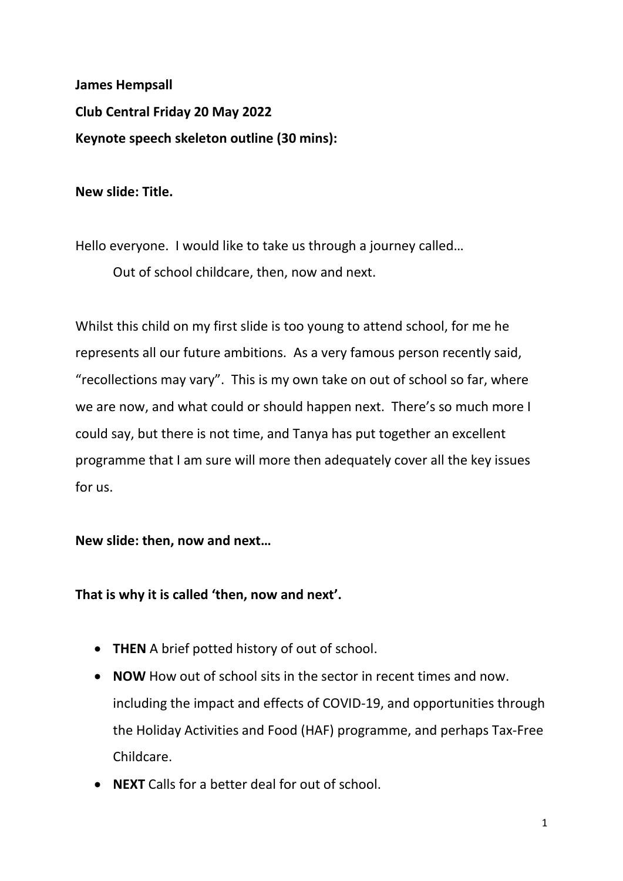**James Hempsall Club Central Friday 20 May 2022 Keynote speech skeleton outline (30 mins):**

**New slide: Title.**

Hello everyone. I would like to take us through a journey called…

Out of school childcare, then, now and next.

Whilst this child on my first slide is too young to attend school, for me he represents all our future ambitions. As a very famous person recently said, "recollections may vary". This is my own take on out of school so far, where we are now, and what could or should happen next. There's so much more I could say, but there is not time, and Tanya has put together an excellent programme that I am sure will more then adequately cover all the key issues for us.

**New slide: then, now and next…**

**That is why it is called 'then, now and next'.**

- **THEN** A brief potted history of out of school.
- **NOW** How out of school sits in the sector in recent times and now. including the impact and effects of COVID-19, and opportunities through the Holiday Activities and Food (HAF) programme, and perhaps Tax-Free Childcare.
- **NEXT** Calls for a better deal for out of school.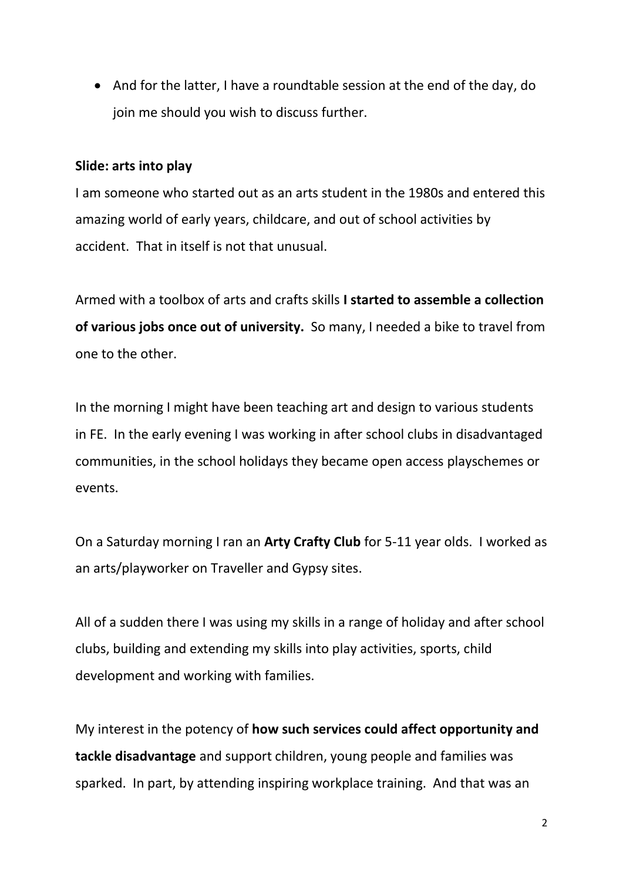• And for the latter, I have a roundtable session at the end of the day, do join me should you wish to discuss further.

# **Slide: arts into play**

I am someone who started out as an arts student in the 1980s and entered this amazing world of early years, childcare, and out of school activities by accident. That in itself is not that unusual.

Armed with a toolbox of arts and crafts skills **I started to assemble a collection of various jobs once out of university.** So many, I needed a bike to travel from one to the other.

In the morning I might have been teaching art and design to various students in FE. In the early evening I was working in after school clubs in disadvantaged communities, in the school holidays they became open access playschemes or events.

On a Saturday morning I ran an **Arty Crafty Club** for 5-11 year olds. I worked as an arts/playworker on Traveller and Gypsy sites.

All of a sudden there I was using my skills in a range of holiday and after school clubs, building and extending my skills into play activities, sports, child development and working with families.

My interest in the potency of **how such services could affect opportunity and tackle disadvantage** and support children, young people and families was sparked. In part, by attending inspiring workplace training. And that was an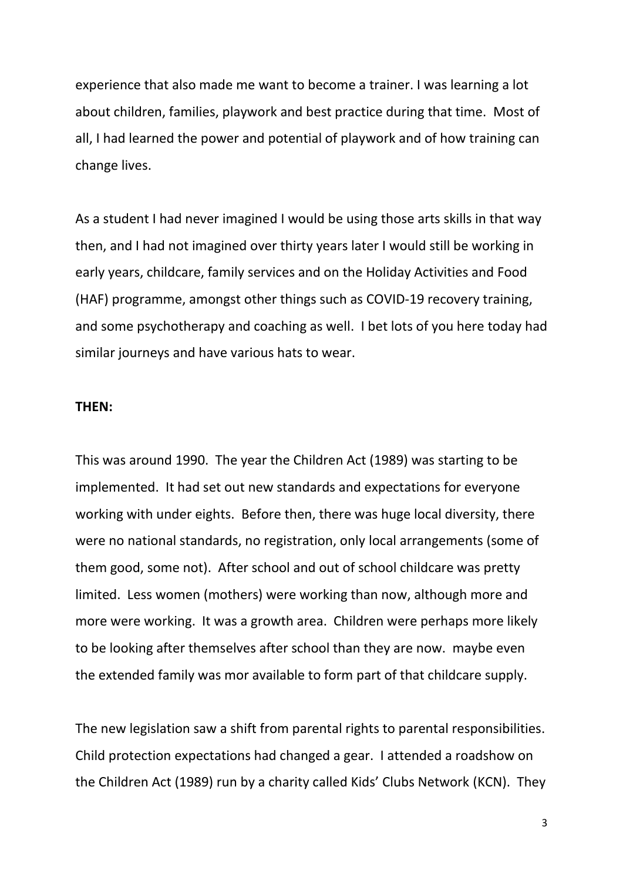experience that also made me want to become a trainer. I was learning a lot about children, families, playwork and best practice during that time. Most of all, I had learned the power and potential of playwork and of how training can change lives.

As a student I had never imagined I would be using those arts skills in that way then, and I had not imagined over thirty years later I would still be working in early years, childcare, family services and on the Holiday Activities and Food (HAF) programme, amongst other things such as COVID-19 recovery training, and some psychotherapy and coaching as well. I bet lots of you here today had similar journeys and have various hats to wear.

#### **THEN:**

This was around 1990. The year the Children Act (1989) was starting to be implemented. It had set out new standards and expectations for everyone working with under eights. Before then, there was huge local diversity, there were no national standards, no registration, only local arrangements (some of them good, some not). After school and out of school childcare was pretty limited. Less women (mothers) were working than now, although more and more were working. It was a growth area. Children were perhaps more likely to be looking after themselves after school than they are now. maybe even the extended family was mor available to form part of that childcare supply.

The new legislation saw a shift from parental rights to parental responsibilities. Child protection expectations had changed a gear. I attended a roadshow on the Children Act (1989) run by a charity called Kids' Clubs Network (KCN). They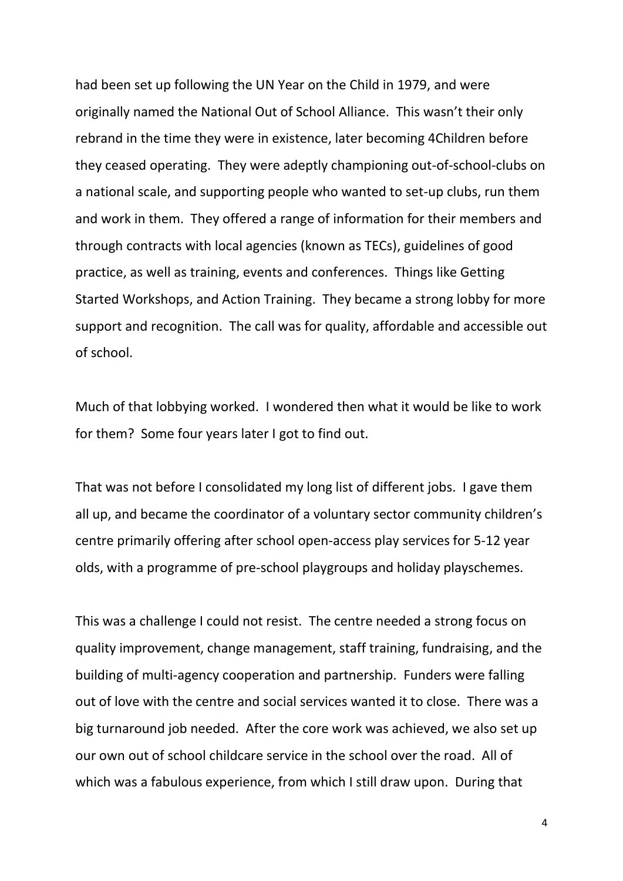had been set up following the UN Year on the Child in 1979, and were originally named the National Out of School Alliance. This wasn't their only rebrand in the time they were in existence, later becoming 4Children before they ceased operating. They were adeptly championing out-of-school-clubs on a national scale, and supporting people who wanted to set-up clubs, run them and work in them. They offered a range of information for their members and through contracts with local agencies (known as TECs), guidelines of good practice, as well as training, events and conferences. Things like Getting Started Workshops, and Action Training. They became a strong lobby for more support and recognition. The call was for quality, affordable and accessible out of school.

Much of that lobbying worked. I wondered then what it would be like to work for them? Some four years later I got to find out.

That was not before I consolidated my long list of different jobs. I gave them all up, and became the coordinator of a voluntary sector community children's centre primarily offering after school open-access play services for 5-12 year olds, with a programme of pre-school playgroups and holiday playschemes.

This was a challenge I could not resist. The centre needed a strong focus on quality improvement, change management, staff training, fundraising, and the building of multi-agency cooperation and partnership. Funders were falling out of love with the centre and social services wanted it to close. There was a big turnaround job needed. After the core work was achieved, we also set up our own out of school childcare service in the school over the road. All of which was a fabulous experience, from which I still draw upon. During that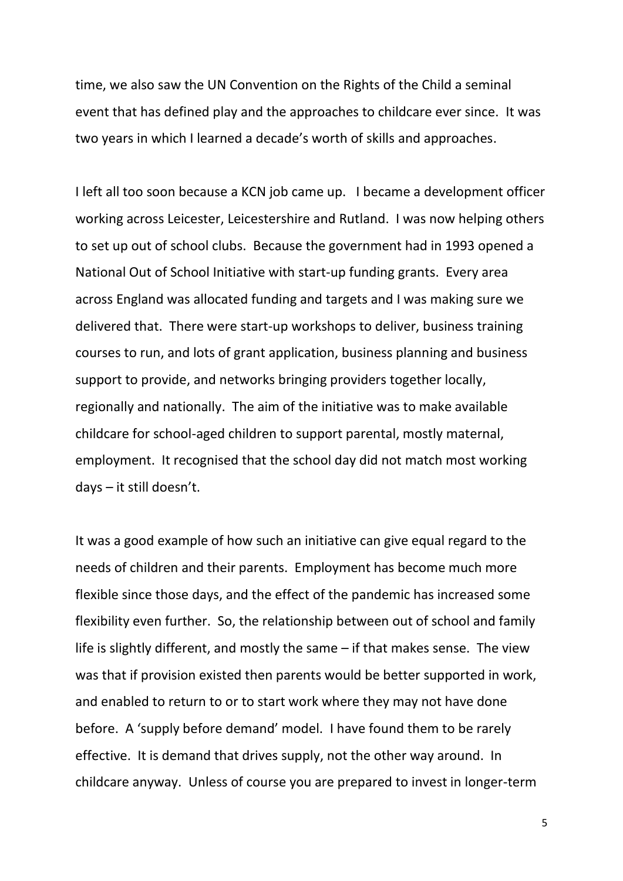time, we also saw the UN Convention on the Rights of the Child a seminal event that has defined play and the approaches to childcare ever since. It was two years in which I learned a decade's worth of skills and approaches.

I left all too soon because a KCN job came up. I became a development officer working across Leicester, Leicestershire and Rutland. I was now helping others to set up out of school clubs. Because the government had in 1993 opened a National Out of School Initiative with start-up funding grants. Every area across England was allocated funding and targets and I was making sure we delivered that. There were start-up workshops to deliver, business training courses to run, and lots of grant application, business planning and business support to provide, and networks bringing providers together locally, regionally and nationally. The aim of the initiative was to make available childcare for school-aged children to support parental, mostly maternal, employment. It recognised that the school day did not match most working days – it still doesn't.

It was a good example of how such an initiative can give equal regard to the needs of children and their parents. Employment has become much more flexible since those days, and the effect of the pandemic has increased some flexibility even further. So, the relationship between out of school and family life is slightly different, and mostly the same – if that makes sense. The view was that if provision existed then parents would be better supported in work, and enabled to return to or to start work where they may not have done before. A 'supply before demand' model. I have found them to be rarely effective. It is demand that drives supply, not the other way around. In childcare anyway. Unless of course you are prepared to invest in longer-term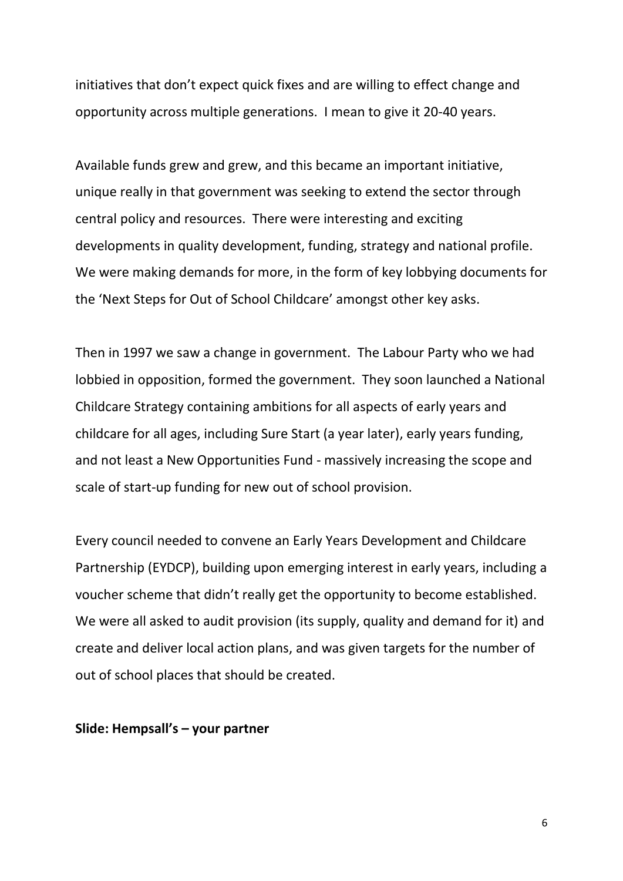initiatives that don't expect quick fixes and are willing to effect change and opportunity across multiple generations. I mean to give it 20-40 years.

Available funds grew and grew, and this became an important initiative, unique really in that government was seeking to extend the sector through central policy and resources. There were interesting and exciting developments in quality development, funding, strategy and national profile. We were making demands for more, in the form of key lobbying documents for the 'Next Steps for Out of School Childcare' amongst other key asks.

Then in 1997 we saw a change in government. The Labour Party who we had lobbied in opposition, formed the government. They soon launched a National Childcare Strategy containing ambitions for all aspects of early years and childcare for all ages, including Sure Start (a year later), early years funding, and not least a New Opportunities Fund - massively increasing the scope and scale of start-up funding for new out of school provision.

Every council needed to convene an Early Years Development and Childcare Partnership (EYDCP), building upon emerging interest in early years, including a voucher scheme that didn't really get the opportunity to become established. We were all asked to audit provision (its supply, quality and demand for it) and create and deliver local action plans, and was given targets for the number of out of school places that should be created.

#### **Slide: Hempsall's – your partner**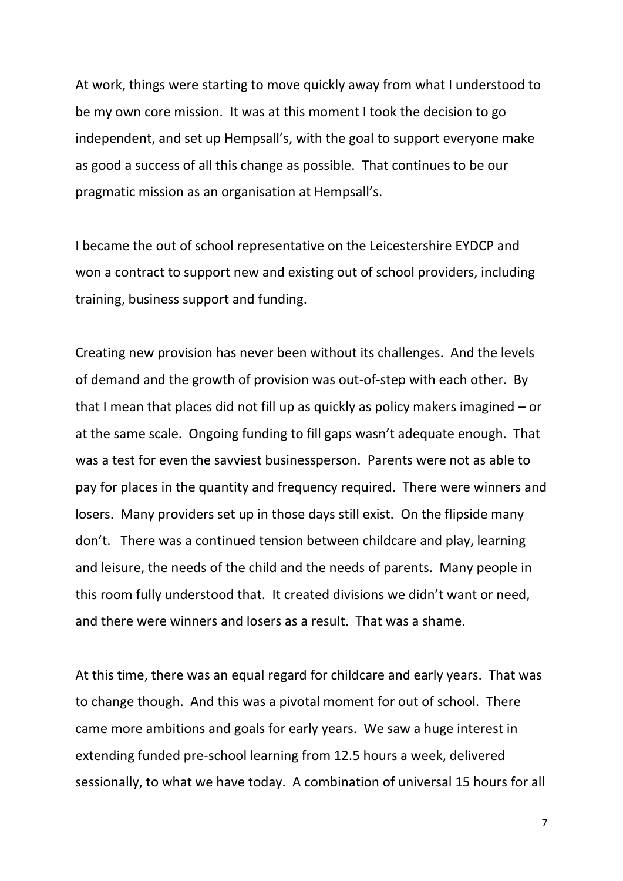At work, things were starting to move quickly away from what I understood to be my own core mission. It was at this moment I took the decision to go independent, and set up Hempsall's, with the goal to support everyone make as good a success of all this change as possible. That continues to be our pragmatic mission as an organisation at Hempsall's.

I became the out of school representative on the Leicestershire EYDCP and won a contract to support new and existing out of school providers, including training, business support and funding.

Creating new provision has never been without its challenges. And the levels of demand and the growth of provision was out-of-step with each other. By that I mean that places did not fill up as quickly as policy makers imagined – or at the same scale. Ongoing funding to fill gaps wasn't adequate enough. That was a test for even the savviest businessperson. Parents were not as able to pay for places in the quantity and frequency required. There were winners and losers. Many providers set up in those days still exist. On the flipside many don't. There was a continued tension between childcare and play, learning and leisure, the needs of the child and the needs of parents. Many people in this room fully understood that. It created divisions we didn't want or need, and there were winners and losers as a result. That was a shame.

At this time, there was an equal regard for childcare and early years. That was to change though. And this was a pivotal moment for out of school. There came more ambitions and goals for early years. We saw a huge interest in extending funded pre-school learning from 12.5 hours a week, delivered sessionally, to what we have today. A combination of universal 15 hours for all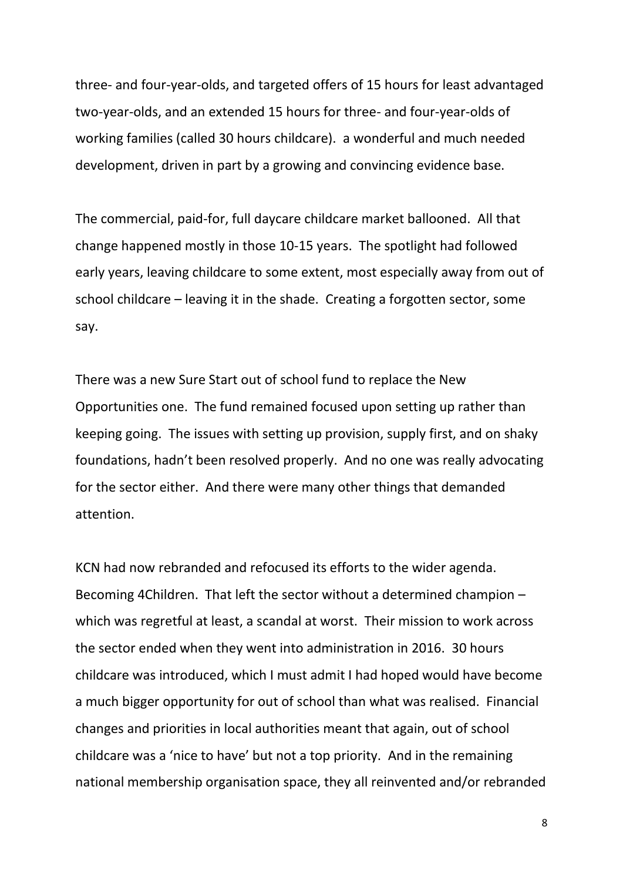three- and four-year-olds, and targeted offers of 15 hours for least advantaged two-year-olds, and an extended 15 hours for three- and four-year-olds of working families (called 30 hours childcare). a wonderful and much needed development, driven in part by a growing and convincing evidence base.

The commercial, paid-for, full daycare childcare market ballooned. All that change happened mostly in those 10-15 years. The spotlight had followed early years, leaving childcare to some extent, most especially away from out of school childcare – leaving it in the shade. Creating a forgotten sector, some say.

There was a new Sure Start out of school fund to replace the New Opportunities one. The fund remained focused upon setting up rather than keeping going. The issues with setting up provision, supply first, and on shaky foundations, hadn't been resolved properly. And no one was really advocating for the sector either. And there were many other things that demanded attention.

KCN had now rebranded and refocused its efforts to the wider agenda. Becoming 4Children. That left the sector without a determined champion – which was regretful at least, a scandal at worst. Their mission to work across the sector ended when they went into administration in 2016. 30 hours childcare was introduced, which I must admit I had hoped would have become a much bigger opportunity for out of school than what was realised. Financial changes and priorities in local authorities meant that again, out of school childcare was a 'nice to have' but not a top priority. And in the remaining national membership organisation space, they all reinvented and/or rebranded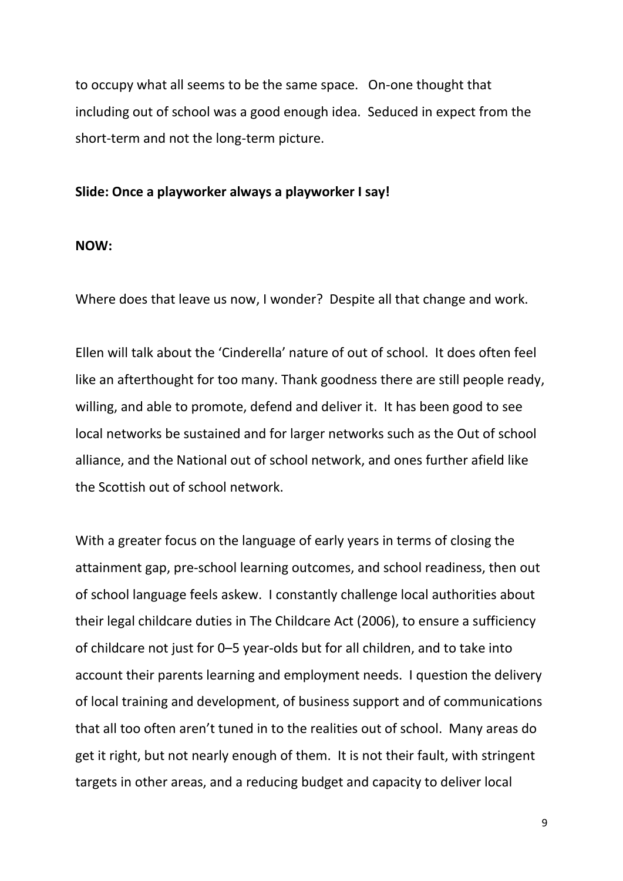to occupy what all seems to be the same space. On-one thought that including out of school was a good enough idea. Seduced in expect from the short-term and not the long-term picture.

#### **Slide: Once a playworker always a playworker I say!**

#### **NOW:**

Where does that leave us now, I wonder? Despite all that change and work.

Ellen will talk about the 'Cinderella' nature of out of school. It does often feel like an afterthought for too many. Thank goodness there are still people ready, willing, and able to promote, defend and deliver it. It has been good to see local networks be sustained and for larger networks such as the Out of school alliance, and the National out of school network, and ones further afield like the Scottish out of school network.

With a greater focus on the language of early years in terms of closing the attainment gap, pre-school learning outcomes, and school readiness, then out of school language feels askew. I constantly challenge local authorities about their legal childcare duties in The Childcare Act (2006), to ensure a sufficiency of childcare not just for 0–5 year-olds but for all children, and to take into account their parents learning and employment needs. I question the delivery of local training and development, of business support and of communications that all too often aren't tuned in to the realities out of school. Many areas do get it right, but not nearly enough of them. It is not their fault, with stringent targets in other areas, and a reducing budget and capacity to deliver local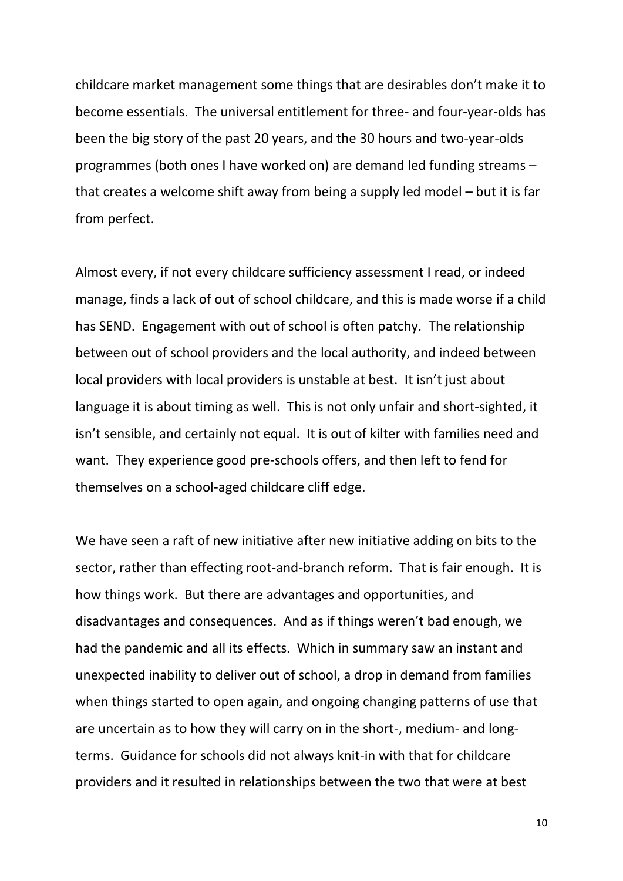childcare market management some things that are desirables don't make it to become essentials. The universal entitlement for three- and four-year-olds has been the big story of the past 20 years, and the 30 hours and two-year-olds programmes (both ones I have worked on) are demand led funding streams – that creates a welcome shift away from being a supply led model – but it is far from perfect.

Almost every, if not every childcare sufficiency assessment I read, or indeed manage, finds a lack of out of school childcare, and this is made worse if a child has SEND. Engagement with out of school is often patchy. The relationship between out of school providers and the local authority, and indeed between local providers with local providers is unstable at best. It isn't just about language it is about timing as well. This is not only unfair and short-sighted, it isn't sensible, and certainly not equal. It is out of kilter with families need and want. They experience good pre-schools offers, and then left to fend for themselves on a school-aged childcare cliff edge.

We have seen a raft of new initiative after new initiative adding on bits to the sector, rather than effecting root-and-branch reform. That is fair enough. It is how things work. But there are advantages and opportunities, and disadvantages and consequences. And as if things weren't bad enough, we had the pandemic and all its effects. Which in summary saw an instant and unexpected inability to deliver out of school, a drop in demand from families when things started to open again, and ongoing changing patterns of use that are uncertain as to how they will carry on in the short-, medium- and longterms. Guidance for schools did not always knit-in with that for childcare providers and it resulted in relationships between the two that were at best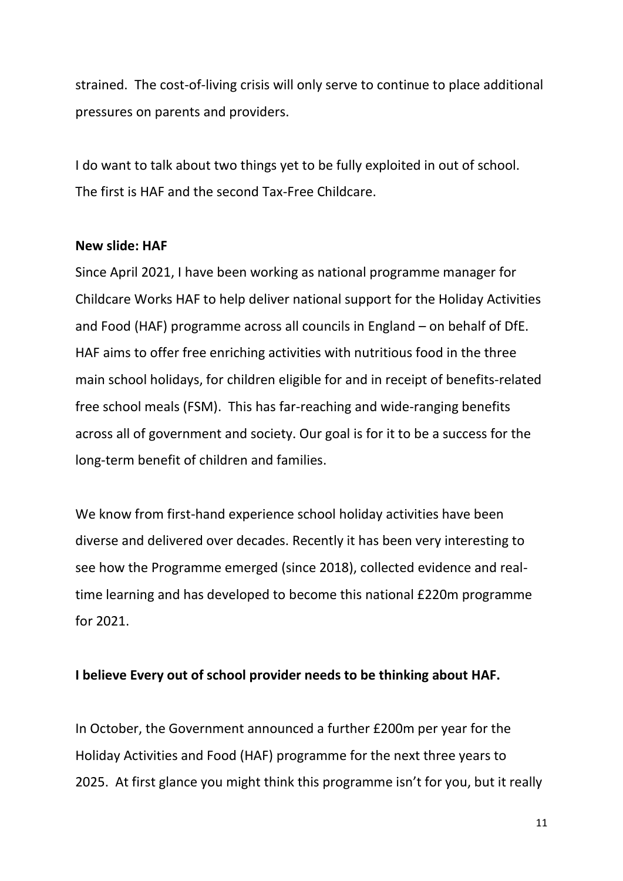strained. The cost-of-living crisis will only serve to continue to place additional pressures on parents and providers.

I do want to talk about two things yet to be fully exploited in out of school. The first is HAF and the second Tax-Free Childcare.

### **New slide: HAF**

Since April 2021, I have been working as national programme manager for Childcare Works HAF to help deliver national support for the Holiday Activities and Food (HAF) programme across all councils in England – on behalf of DfE. HAF aims to offer free enriching activities with nutritious food in the three main school holidays, for children eligible for and in receipt of benefits-related free school meals (FSM). This has far-reaching and wide-ranging benefits across all of government and society. Our goal is for it to be a success for the long-term benefit of children and families.

We know from first-hand experience school holiday activities have been diverse and delivered over decades. Recently it has been very interesting to see how the Programme emerged (since 2018), collected evidence and realtime learning and has developed to become this national £220m programme for 2021.

## **I believe Every out of school provider needs to be thinking about HAF.**

In October, the Government announced a further £200m per year for the Holiday Activities and Food (HAF) programme for the next three years to 2025. At first glance you might think this programme isn't for you, but it really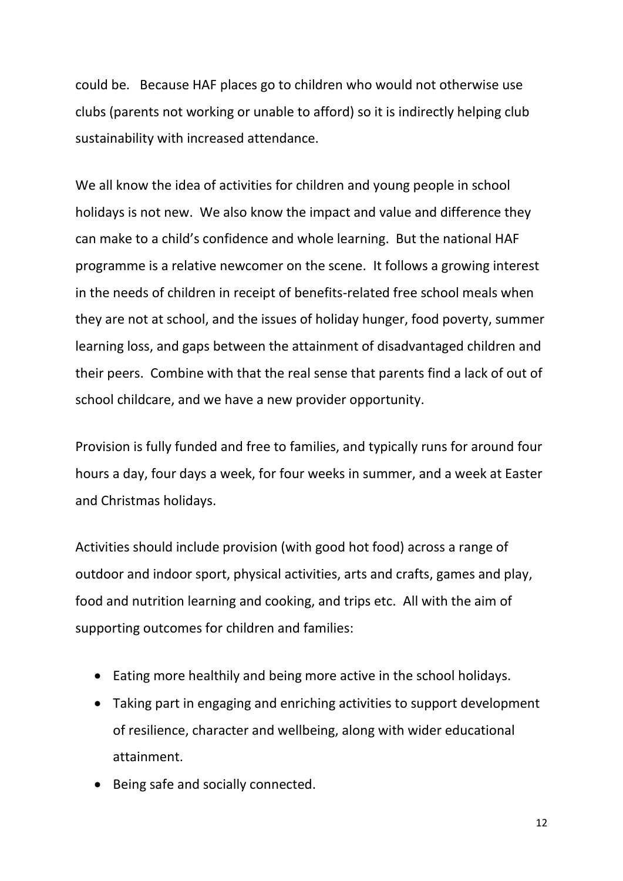could be. Because HAF places go to children who would not otherwise use clubs (parents not working or unable to afford) so it is indirectly helping club sustainability with increased attendance.

We all know the idea of activities for children and young people in school holidays is not new. We also know the impact and value and difference they can make to a child's confidence and whole learning. But the national HAF programme is a relative newcomer on the scene. It follows a growing interest in the needs of children in receipt of benefits-related free school meals when they are not at school, and the issues of holiday hunger, food poverty, summer learning loss, and gaps between the attainment of disadvantaged children and their peers. Combine with that the real sense that parents find a lack of out of school childcare, and we have a new provider opportunity.

Provision is fully funded and free to families, and typically runs for around four hours a day, four days a week, for four weeks in summer, and a week at Easter and Christmas holidays.

Activities should include provision (with good hot food) across a range of outdoor and indoor sport, physical activities, arts and crafts, games and play, food and nutrition learning and cooking, and trips etc. All with the aim of supporting outcomes for children and families:

- Eating more healthily and being more active in the school holidays.
- Taking part in engaging and enriching activities to support development of resilience, character and wellbeing, along with wider educational attainment.
- Being safe and socially connected.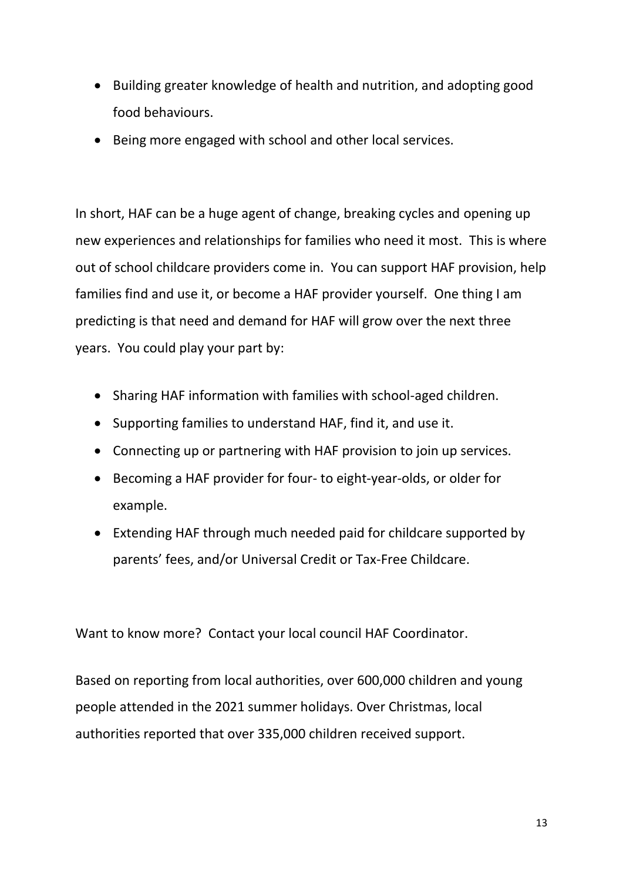- Building greater knowledge of health and nutrition, and adopting good food behaviours.
- Being more engaged with school and other local services.

In short, HAF can be a huge agent of change, breaking cycles and opening up new experiences and relationships for families who need it most. This is where out of school childcare providers come in. You can support HAF provision, help families find and use it, or become a HAF provider yourself. One thing I am predicting is that need and demand for HAF will grow over the next three years. You could play your part by:

- Sharing HAF information with families with school-aged children.
- Supporting families to understand HAF, find it, and use it.
- Connecting up or partnering with HAF provision to join up services.
- Becoming a HAF provider for four- to eight-year-olds, or older for example.
- Extending HAF through much needed paid for childcare supported by parents' fees, and/or Universal Credit or Tax-Free Childcare.

Want to know more? Contact your local council HAF Coordinator.

Based on reporting from local authorities, over 600,000 children and young people attended in the 2021 summer holidays. Over Christmas, local authorities reported that over 335,000 children received support.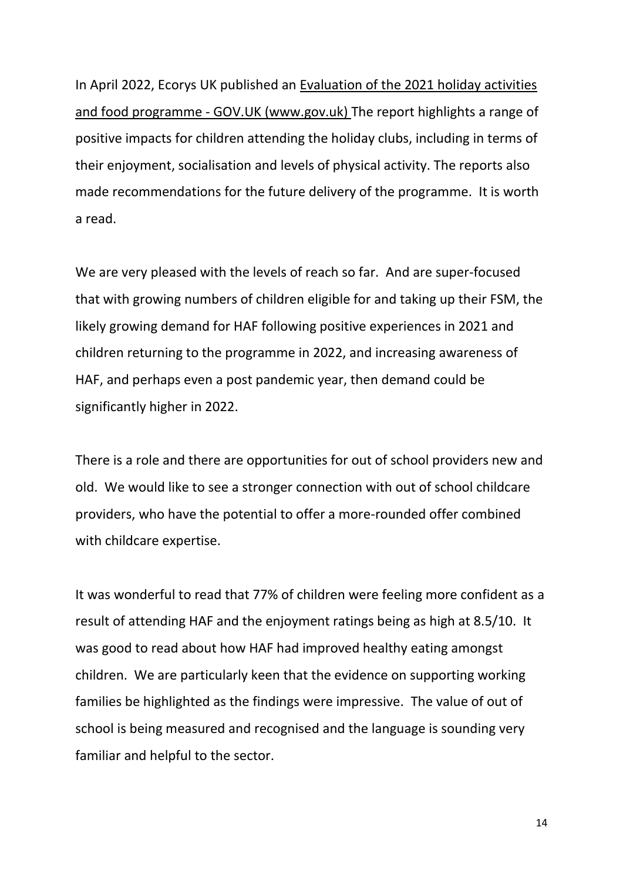In April 2022, Ecorys UK published an [Evaluation](https://www.gov.uk/government/publications/evaluation-of-the-2021-holiday-activities-and-food-programme) of the 2021 holiday activities and food programme - GOV.UK [\(www.gov.uk\)](https://www.gov.uk/government/publications/evaluation-of-the-2021-holiday-activities-and-food-programme) The report highlights a range of positive impacts for children attending the holiday clubs, including in terms of their enjoyment, socialisation and levels of physical activity. The reports also made recommendations for the future delivery of the programme. It is worth a read.

We are very pleased with the levels of reach so far. And are super-focused that with growing numbers of children eligible for and taking up their FSM, the likely growing demand for HAF following positive experiences in 2021 and children returning to the programme in 2022, and increasing awareness of HAF, and perhaps even a post pandemic year, then demand could be significantly higher in 2022.

There is a role and there are opportunities for out of school providers new and old. We would like to see a stronger connection with out of school childcare providers, who have the potential to offer a more-rounded offer combined with childcare expertise.

It was wonderful to read that 77% of children were feeling more confident as a result of attending HAF and the enjoyment ratings being as high at 8.5/10. It was good to read about how HAF had improved healthy eating amongst children. We are particularly keen that the evidence on supporting working families be highlighted as the findings were impressive. The value of out of school is being measured and recognised and the language is sounding very familiar and helpful to the sector.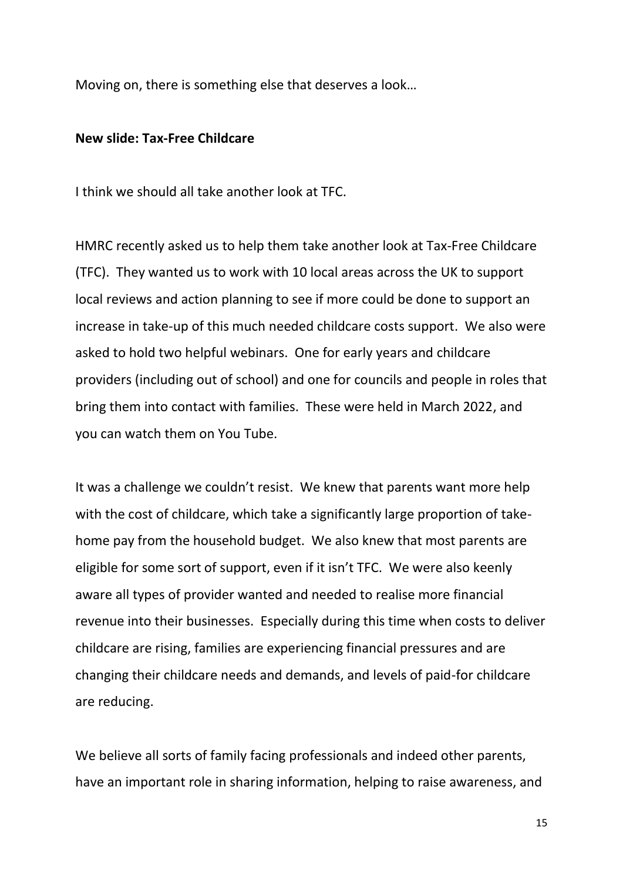Moving on, there is something else that deserves a look…

#### **New slide: Tax-Free Childcare**

I think we should all take another look at TFC.

HMRC recently asked us to help them take another look at Tax-Free Childcare (TFC). They wanted us to work with 10 local areas across the UK to support local reviews and action planning to see if more could be done to support an increase in take-up of this much needed childcare costs support. We also were asked to hold two helpful webinars. One for early years and childcare providers (including out of school) and one for councils and people in roles that bring them into contact with families. These were held in March 2022, and you can watch them on You Tube.

It was a challenge we couldn't resist. We knew that parents want more help with the cost of childcare, which take a significantly large proportion of takehome pay from the household budget. We also knew that most parents are eligible for some sort of support, even if it isn't TFC. We were also keenly aware all types of provider wanted and needed to realise more financial revenue into their businesses. Especially during this time when costs to deliver childcare are rising, families are experiencing financial pressures and are changing their childcare needs and demands, and levels of paid-for childcare are reducing.

We believe all sorts of family facing professionals and indeed other parents, have an important role in sharing information, helping to raise awareness, and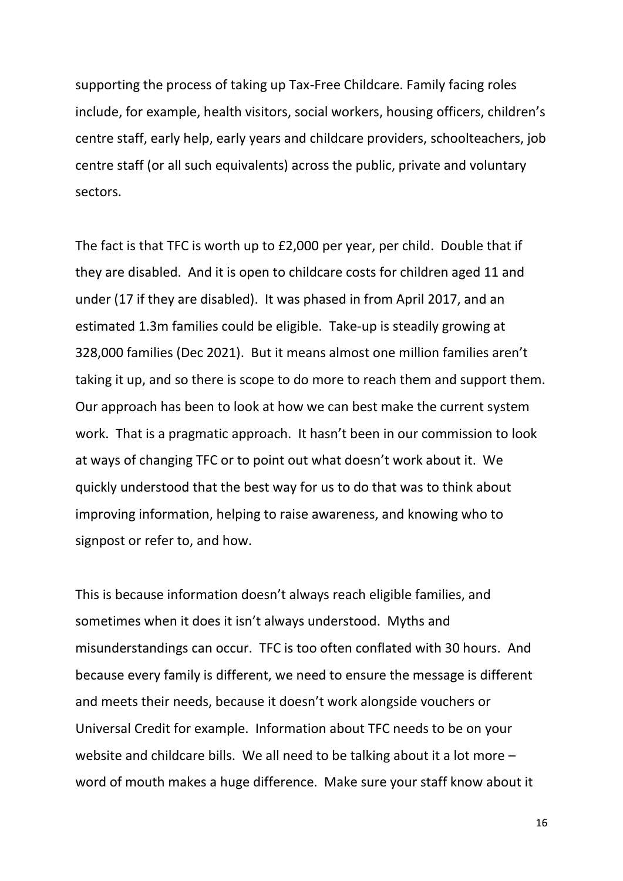supporting the process of taking up Tax-Free Childcare. Family facing roles include, for example, health visitors, social workers, housing officers, children's centre staff, early help, early years and childcare providers, schoolteachers, job centre staff (or all such equivalents) across the public, private and voluntary sectors.

The fact is that TFC is worth up to £2,000 per year, per child. Double that if they are disabled. And it is open to childcare costs for children aged 11 and under (17 if they are disabled). It was phased in from April 2017, and an estimated 1.3m families could be eligible. Take-up is steadily growing at 328,000 families (Dec 2021). But it means almost one million families aren't taking it up, and so there is scope to do more to reach them and support them. Our approach has been to look at how we can best make the current system work. That is a pragmatic approach. It hasn't been in our commission to look at ways of changing TFC or to point out what doesn't work about it. We quickly understood that the best way for us to do that was to think about improving information, helping to raise awareness, and knowing who to signpost or refer to, and how.

This is because information doesn't always reach eligible families, and sometimes when it does it isn't always understood. Myths and misunderstandings can occur. TFC is too often conflated with 30 hours. And because every family is different, we need to ensure the message is different and meets their needs, because it doesn't work alongside vouchers or Universal Credit for example. Information about TFC needs to be on your website and childcare bills. We all need to be talking about it a lot more – word of mouth makes a huge difference. Make sure your staff know about it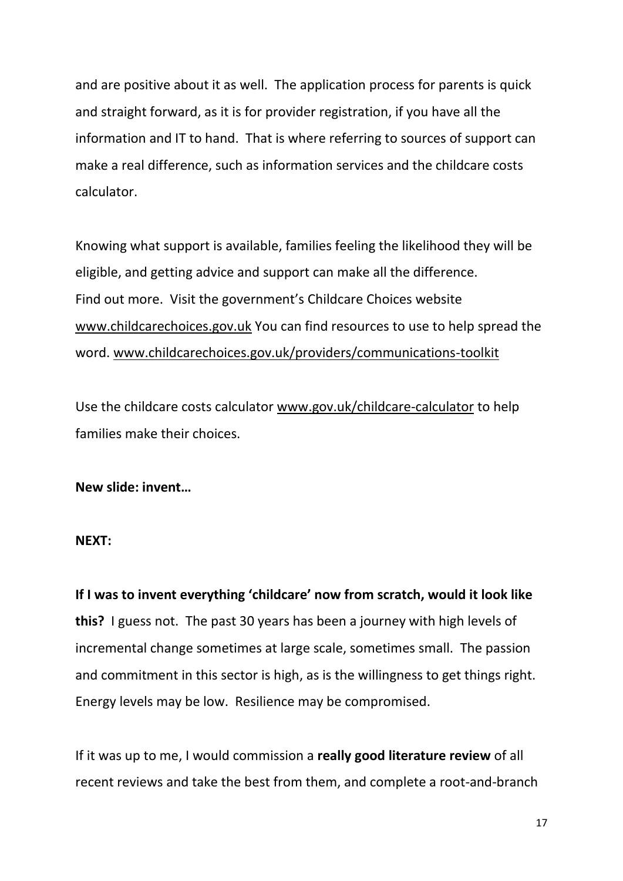and are positive about it as well. The application process for parents is quick and straight forward, as it is for provider registration, if you have all the information and IT to hand. That is where referring to sources of support can make a real difference, such as information services and the childcare costs calculator.

Knowing what support is available, families feeling the likelihood they will be eligible, and getting advice and support can make all the difference. Find out more. Visit the government's Childcare Choices website [www.childcarechoices.gov.uk](http://www.childcarechoices.gov.uk/) You can find resources to use to help spread the word. [www.childcarechoices.gov.uk/providers/communications-toolkit](http://www.childcarechoices.gov.uk/providers/communications-toolkit)

Use the childcare costs calculator [www.gov.uk/childcare-calculator](http://www.gov.uk/childcare-calculator) to help families make their choices.

## **New slide: invent…**

## **NEXT:**

**If I was to invent everything 'childcare' now from scratch, would it look like this?** I guess not. The past 30 years has been a journey with high levels of incremental change sometimes at large scale, sometimes small. The passion and commitment in this sector is high, as is the willingness to get things right. Energy levels may be low. Resilience may be compromised.

If it was up to me, I would commission a **really good literature review** of all recent reviews and take the best from them, and complete a root-and-branch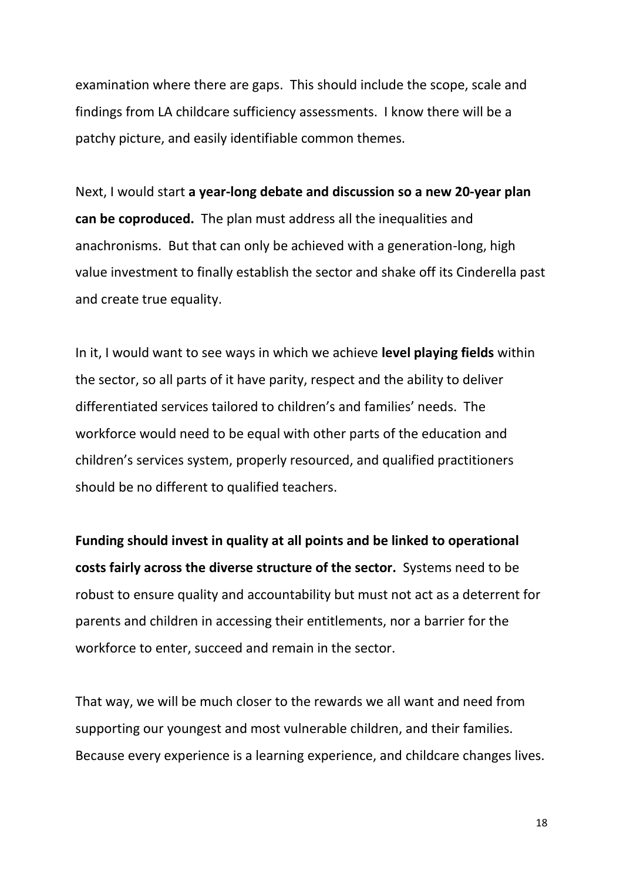examination where there are gaps. This should include the scope, scale and findings from LA childcare sufficiency assessments. I know there will be a patchy picture, and easily identifiable common themes.

Next, I would start **a year-long debate and discussion so a new 20-year plan can be coproduced.** The plan must address all the inequalities and anachronisms. But that can only be achieved with a generation-long, high value investment to finally establish the sector and shake off its Cinderella past and create true equality.

In it, I would want to see ways in which we achieve **level playing fields** within the sector, so all parts of it have parity, respect and the ability to deliver differentiated services tailored to children's and families' needs. The workforce would need to be equal with other parts of the education and children's services system, properly resourced, and qualified practitioners should be no different to qualified teachers.

**Funding should invest in quality at all points and be linked to operational costs fairly across the diverse structure of the sector.** Systems need to be robust to ensure quality and accountability but must not act as a deterrent for parents and children in accessing their entitlements, nor a barrier for the workforce to enter, succeed and remain in the sector.

That way, we will be much closer to the rewards we all want and need from supporting our youngest and most vulnerable children, and their families. Because every experience is a learning experience, and childcare changes lives.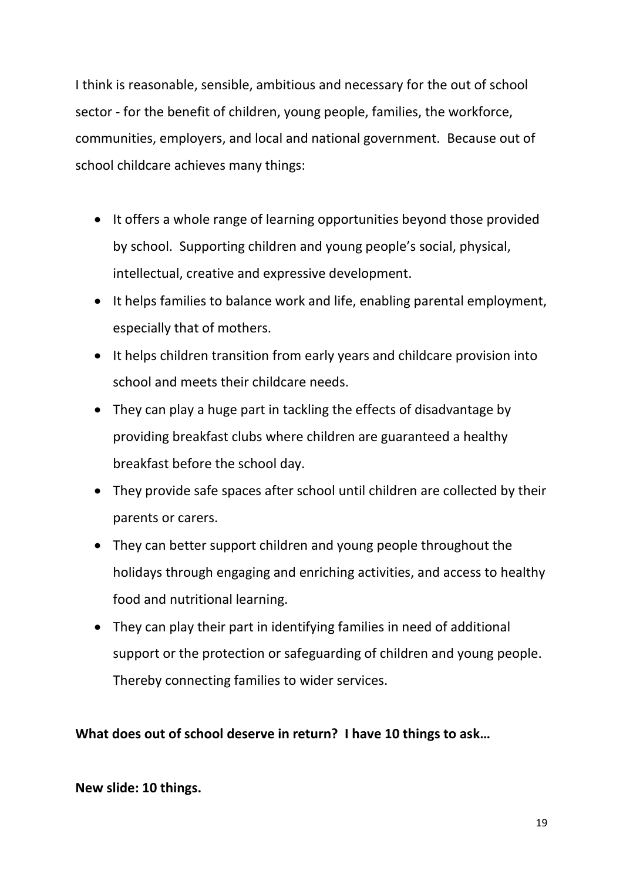I think is reasonable, sensible, ambitious and necessary for the out of school sector - for the benefit of children, young people, families, the workforce, communities, employers, and local and national government. Because out of school childcare achieves many things:

- It offers a whole range of learning opportunities beyond those provided by school. Supporting children and young people's social, physical, intellectual, creative and expressive development.
- It helps families to balance work and life, enabling parental employment, especially that of mothers.
- It helps children transition from early years and childcare provision into school and meets their childcare needs.
- They can play a huge part in tackling the effects of disadvantage by providing breakfast clubs where children are guaranteed a healthy breakfast before the school day.
- They provide safe spaces after school until children are collected by their parents or carers.
- They can better support children and young people throughout the holidays through engaging and enriching activities, and access to healthy food and nutritional learning.
- They can play their part in identifying families in need of additional support or the protection or safeguarding of children and young people. Thereby connecting families to wider services.

**What does out of school deserve in return? I have 10 things to ask…**

## **New slide: 10 things.**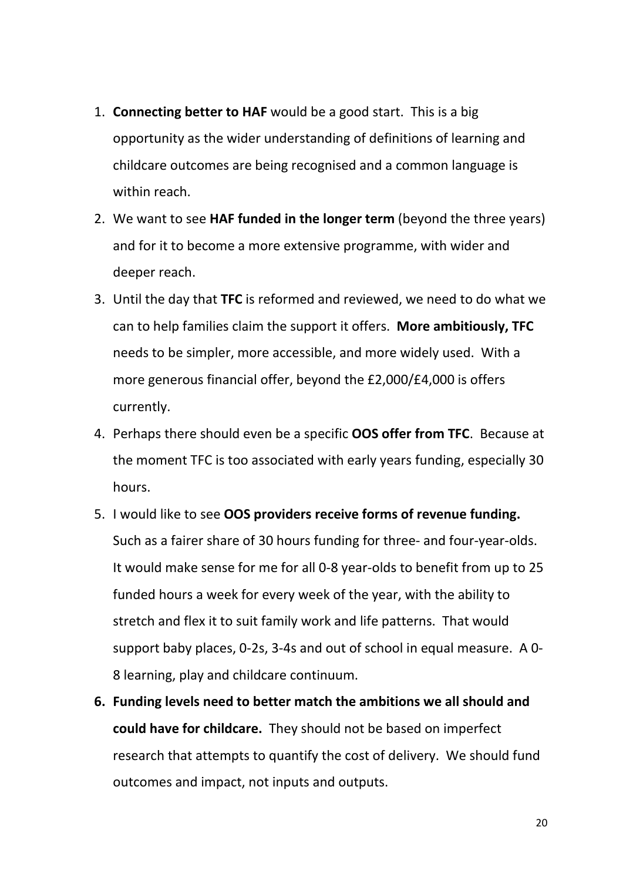- 1. **Connecting better to HAF** would be a good start. This is a big opportunity as the wider understanding of definitions of learning and childcare outcomes are being recognised and a common language is within reach.
- 2. We want to see **HAF funded in the longer term** (beyond the three years) and for it to become a more extensive programme, with wider and deeper reach.
- 3. Until the day that **TFC** is reformed and reviewed, we need to do what we can to help families claim the support it offers. **More ambitiously, TFC** needs to be simpler, more accessible, and more widely used. With a more generous financial offer, beyond the £2,000/£4,000 is offers currently.
- 4. Perhaps there should even be a specific **OOS offer from TFC**. Because at the moment TFC is too associated with early years funding, especially 30 hours.
- 5. I would like to see **OOS providers receive forms of revenue funding.**  Such as a fairer share of 30 hours funding for three- and four-year-olds. It would make sense for me for all 0-8 year-olds to benefit from up to 25 funded hours a week for every week of the year, with the ability to stretch and flex it to suit family work and life patterns. That would support baby places, 0-2s, 3-4s and out of school in equal measure. A 0- 8 learning, play and childcare continuum.
- **6. Funding levels need to better match the ambitions we all should and could have for childcare.** They should not be based on imperfect research that attempts to quantify the cost of delivery. We should fund outcomes and impact, not inputs and outputs.